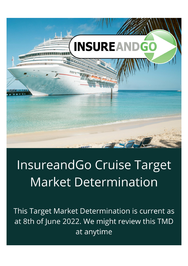

# InsureandGo Cruise Target **Market Determination**

This Target Market Determination is current as at 8th of June 2022. We might review this TMD at anytime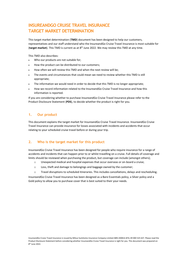# **INSUREANDGO CRUISE TRAVEL INSURANCE TARGET MARKET DETERMINATION**

This target market determination (**TMD**) document has been designed to help our customers, representatives and our staff understand who the InsureandGo Cruise Travel Insurance is most suitable for **(target market)**. This TMD is current as at 8<sup>th</sup> June 2022. We may review this TMD at any time.

This TMD also describes:

- Who our products are not suitable for;
- How the product can be distributed to our customers;
- How often we will review this TMD and when the next review will be;
- The events and circumstances that could mean we need to review whether this TMD is still appropriate;
- The information we would need in order to decide that this TMD is no longer appropriate;
- How we record information related to the InsureandGo Cruise Travel Insurance and how this information is reported.

If you are considering whether to purchase InsureandGo Cruise Travel Insurance please refer to the Product Disclosure Statement (**PDS**), to decide whether the product is right for you.

## **1. Our product**

This document explains the target market for InsureandGo Cruise Travel Insurance. InsureandGo Cruise Travel Insurance can provide insurance for losses associated with incidents and accidents that occur relating to your scheduled cruise travel before or during your trip.

# **2. Who is the target market for this product**

InsureandGo Cruise Travel Insurance has been designed for people who require insurance for a range of accidents and incidents that can happen prior to or whilst travelling on a cruise. Full details of coverage and limits should be reviewed when purchasing the product, but coverage can include (amongst others);

- o Unexpected medical and hospital expenses that occur overseas or on-board a cruise;
- o Loss, theft and damage to belongings and baggage owned by the customer;
- o Travel disruptions to scheduled itineraries. This includes cancellations, delays and rescheduling;

InsureandGo Cruise Travel Insurance has been designed as a Bare Essentials policy, a Silver policy and a Gold policy to allow you to purchase cover that is best suited to their your needs.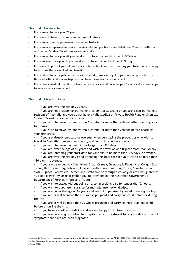#### This product is suitable:

- If you are up to the age of 79 years.
- If you wish to travel on a cruise and return to Australia.
- If you are a citizen or permanent resident of Australia.
- If you are a non-permanent resident of Australia and you have a valid Medicare, Private Health Fund or Overseas Student Travel Insurance in Australia.
- If you are up to the age of 64 years and wish to travel on one trip for up to 365 days.
- If you are over the age of 65 years and wish to travel on one trip for up to 90 days.
- If you wish to protect yourself from unexpected natural disasters disrupting your travel and are happy to purchase the relevant add-on benefit.
- If you intend to participate in specific winter sports, business or golf trips, you want protection for those activities and you are happy to purchase the relevant add-on benefit.
- If you have a medical condition or have had a medical condition in the past 5 years and you are happy to have a medical assessment.

#### This product is not suitable:

- If you are over the age of 79 years.
- If you are not a citizen or permanent resident of Australia or you are a non-permanent resident of Australia and you do not have a valid Medicare, Private Health Fund or Overseas Student Travel Insurance in Australia.
- If you wish to travel by land within Australia for more than 48hours after boarding your first cruise..
- If you wish to travel by land within Australia for more than 72hours before boarding your first cruise.
- If you are already on-board or overseas when purchasing the product or who wish to travel to Australia from another country and return to another country.
- If you wish to travel on one trip for longer than 365 days.
- If you are over the age of 65 years and wish to travel on one trip for more than 90 days.
- If you are intending your start date for your trip to be more than 365 days in advance.
- If you are over the age of 75 and intending the start date for your trip to be more than 120 days in advance.
- If you are travelling to Afghanistan, Chad, Crimea, Democratic Republic of Congo, East Timor, Haiti, Iran, Iraq, Lebanon, Liberia, North Korea, Pakistan, Russia, Somalia, Sudan, Syria, Uganda, Venezuela, Yemen and Zimbabwe or through a country or area designated as "Do Not Travel" by SmartTraveller.gov.au (provided by the Australian Government's Department of Foreign Affairs and Trade)
- If you wish to travel without going on a commercial cruise for longer than 2 hours.
- If you wish to purchase insurance for multiple international trips.
- If you are under the age of 16 years and are not supervised by an adult during the trip.
- If you are or will be more than 30 weeks pregnant and carry one child before or during the trip.
- If you are or will be more than 20 weeks pregnant and carrying more than one child before or during the trip.
- If you have a medical condition and are not happy to disclose this to us.
- If you are receiving or waiting for hospital tests or treatment for any condition or set of symptoms that have not been diagnosed.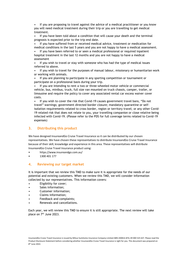If you are proposing to travel against the advice of a medical practitioner or you know you will need medical treatment during their trip or you are travelling to get medical treatment.

If you have been told about a condition that will cause your death and the terminal prognosis is expected prior to the trip end date.

• If you have suffered from or received medical advice, treatment or medication for medical conditions in the last 5 years and you are not happy to have a medical assessment.

• If you have been referred to or seen a medical professional or required inpatient hospital treatment in the last 12 months and you are not happy to have a medical assessment

• If you wish to travel or stay with someone who has had the type of medical issues referred to above.

• If you wish to travel for the purposes of manual labour, missionary or humanitarian work or working with animals.

If you are planning to participate in any sporting competition or tournament or participate on a professional basis during your trip.

If you are intending to rent a two or three-wheeled motor vehicle or commercial vehicle, bus, minibus, truck, full size van mounted on truck chassis, camper, trailer, or limousine and require the policy to cover any associated rental car excess waiver cover costs.

• If you wish to cover the risk that Covid-19 causes government travel bans, "Do not travel" warnings; government directed border closure; mandatory quarantine or selfisolation requirements related to cross border, region or territory travel; or any other Covid-19 related risk that does not relate to you, your travelling companion or close relative being infected with Covid-19. (Please refer to the PDS for full coverage terms related to Covid-19 expenses)

# **3. Distributing this product**

We have designed InsureandGo Cruise Travel Insurance so it can be distributed by our chosen representatives. We have chosen these representatives to distribute InsureandGo Cruise Travel Insurance because of their skill, knowledge and experience in this area. These representatives will distribute InsureandGo Cruise Travel Insurance product using:

- https://www.insureandgo.com.au/
- 1300 401 177

## **4. Reviewing our target market**

It is important that we review this TMD to make sure it is appropriate for the needs of our potential and existing customers. When we review this TMD, we will consider information collected by our representatives. This information covers:

- Eligibility for cover;
- Sales information;
- Customer information;
- Claims information;
- Feedback and complaints;
- Renewals and cancellations.

Each year, we will review this TMD to ensure it is still appropriate. The next review will take place on 7<sup>th</sup> June 2023.